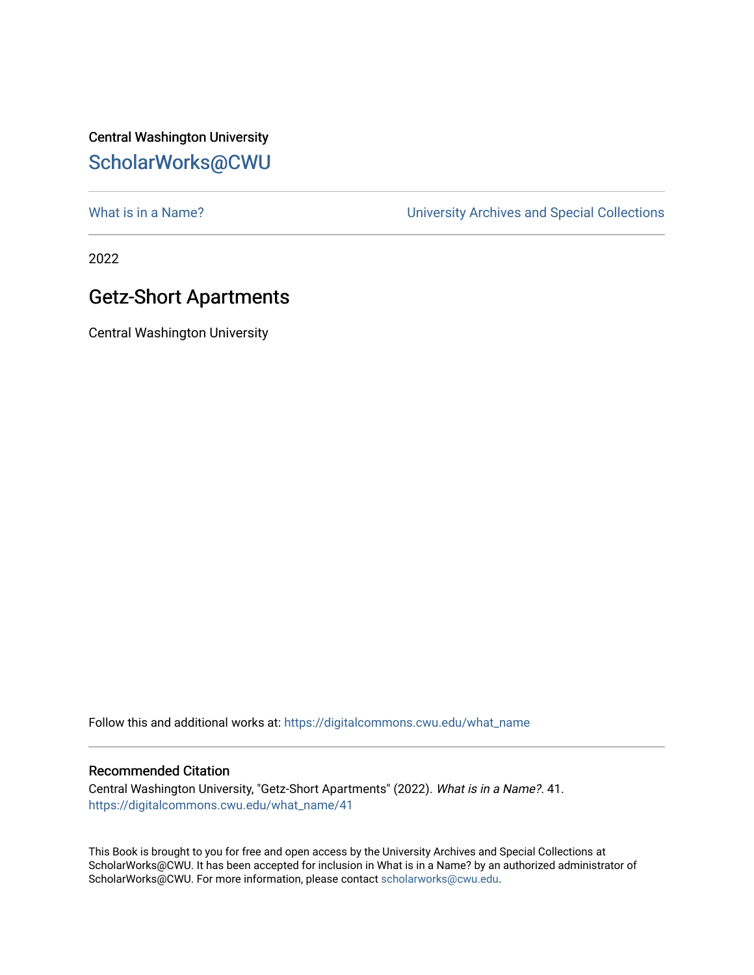Central Washington University [ScholarWorks@CWU](https://digitalcommons.cwu.edu/) 

What is in a Name?<br>
University Archives and Special Collections

2022

## Getz-Short Apartments

Central Washington University

Follow this and additional works at: [https://digitalcommons.cwu.edu/what\\_name](https://digitalcommons.cwu.edu/what_name?utm_source=digitalcommons.cwu.edu%2Fwhat_name%2F41&utm_medium=PDF&utm_campaign=PDFCoverPages) 

## Recommended Citation

Central Washington University, "Getz-Short Apartments" (2022). What is in a Name?. 41. [https://digitalcommons.cwu.edu/what\\_name/41](https://digitalcommons.cwu.edu/what_name/41?utm_source=digitalcommons.cwu.edu%2Fwhat_name%2F41&utm_medium=PDF&utm_campaign=PDFCoverPages) 

This Book is brought to you for free and open access by the University Archives and Special Collections at ScholarWorks@CWU. It has been accepted for inclusion in What is in a Name? by an authorized administrator of ScholarWorks@CWU. For more information, please contact [scholarworks@cwu.edu](mailto:scholarworks@cwu.edu).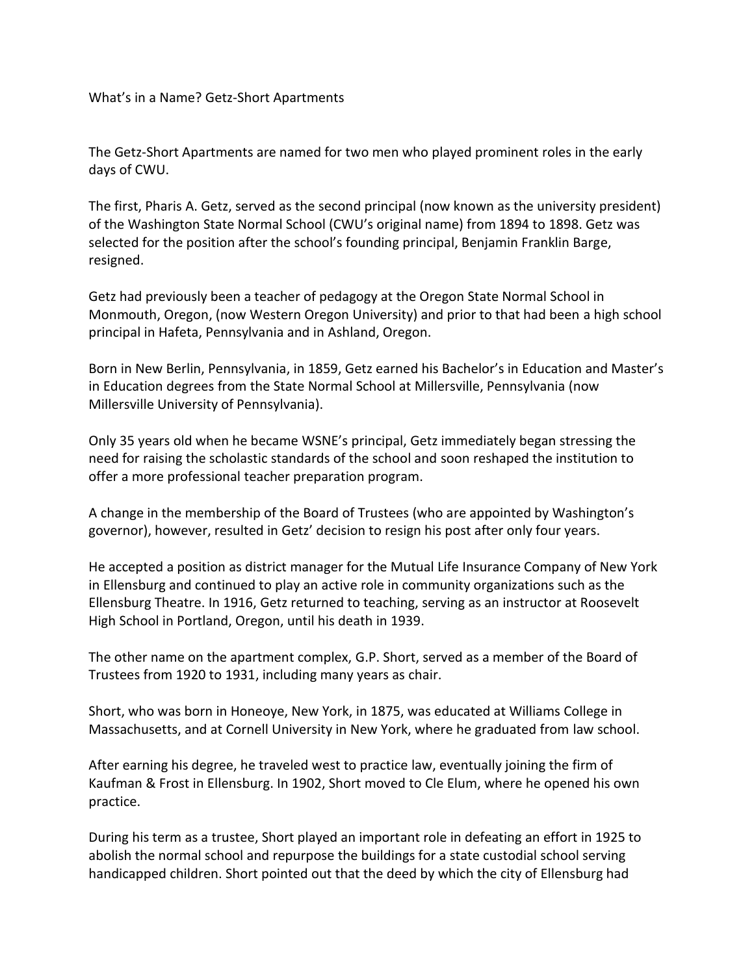What's in a Name? Getz-Short Apartments

The Getz-Short Apartments are named for two men who played prominent roles in the early days of CWU.

The first, Pharis A. Getz, served as the second principal (now known as the university president) of the Washington State Normal School (CWU's original name) from 1894 to 1898. Getz was selected for the position after the school's founding principal, Benjamin Franklin Barge, resigned.

Getz had previously been a teacher of pedagogy at the Oregon State Normal School in Monmouth, Oregon, (now Western Oregon University) and prior to that had been a high school principal in Hafeta, Pennsylvania and in Ashland, Oregon.

Born in New Berlin, Pennsylvania, in 1859, Getz earned his Bachelor's in Education and Master's in Education degrees from the State Normal School at Millersville, Pennsylvania (now Millersville University of Pennsylvania).

Only 35 years old when he became WSNE's principal, Getz immediately began stressing the need for raising the scholastic standards of the school and soon reshaped the institution to offer a more professional teacher preparation program.

A change in the membership of the Board of Trustees (who are appointed by Washington's governor), however, resulted in Getz' decision to resign his post after only four years.

He accepted a position as district manager for the Mutual Life Insurance Company of New York in Ellensburg and continued to play an active role in community organizations such as the Ellensburg Theatre. In 1916, Getz returned to teaching, serving as an instructor at Roosevelt High School in Portland, Oregon, until his death in 1939.

The other name on the apartment complex, G.P. Short, served as a member of the Board of Trustees from 1920 to 1931, including many years as chair.

Short, who was born in Honeoye, New York, in 1875, was educated at Williams College in Massachusetts, and at Cornell University in New York, where he graduated from law school.

After earning his degree, he traveled west to practice law, eventually joining the firm of Kaufman & Frost in Ellensburg. In 1902, Short moved to Cle Elum, where he opened his own practice.

During his term as a trustee, Short played an important role in defeating an effort in 1925 to abolish the normal school and repurpose the buildings for a state custodial school serving handicapped children. Short pointed out that the deed by which the city of Ellensburg had